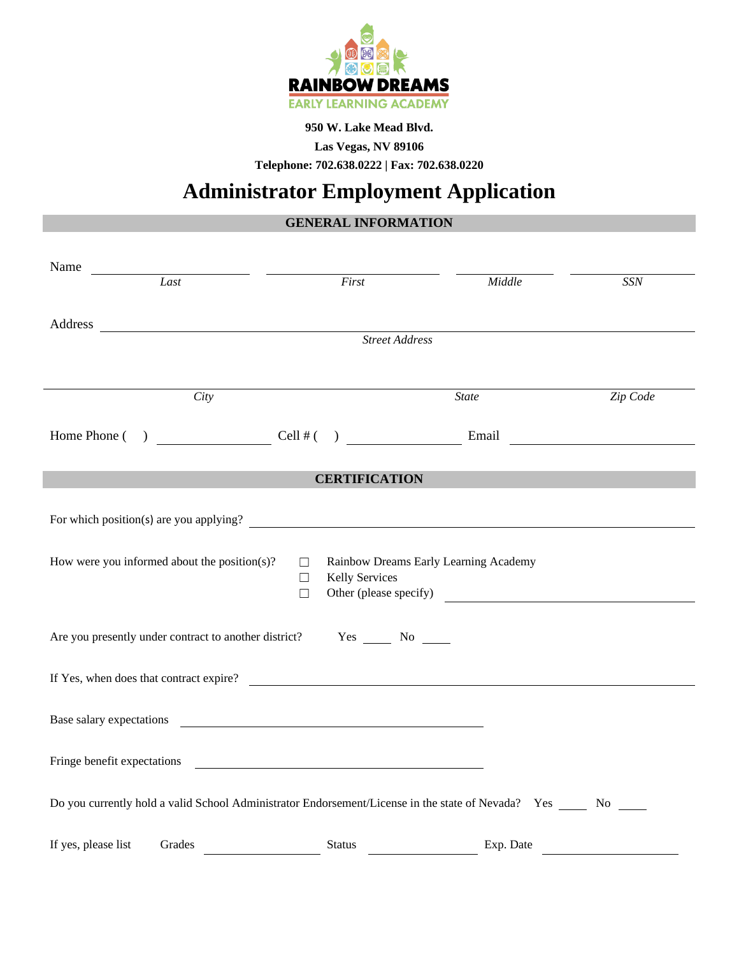

#### **950 W. Lake Mead Blvd.**

**Las Vegas, NV 89106**

**Telephone: 702.638.0222 | Fax: 702.638.0220**

# **Administrator Employment Application**

## **GENERAL INFORMATION**

| Name                                                                                                                                                                                                                                                                                                                                 |                                                         |                                                                 |            |
|--------------------------------------------------------------------------------------------------------------------------------------------------------------------------------------------------------------------------------------------------------------------------------------------------------------------------------------|---------------------------------------------------------|-----------------------------------------------------------------|------------|
| Last                                                                                                                                                                                                                                                                                                                                 | First                                                   | Middle                                                          | <b>SSN</b> |
|                                                                                                                                                                                                                                                                                                                                      |                                                         |                                                                 |            |
|                                                                                                                                                                                                                                                                                                                                      | <b>Street Address</b>                                   |                                                                 |            |
|                                                                                                                                                                                                                                                                                                                                      |                                                         |                                                                 |            |
| City                                                                                                                                                                                                                                                                                                                                 |                                                         | <b>State</b>                                                    | Zip Code   |
| Home Phone $($ $)$ $\qquad$ $\qquad$ $\qquad$ $\qquad$ $\qquad$ $\qquad$ $\qquad$ $\qquad$ $\qquad$ $\qquad$ $\qquad$ $\qquad$ $\qquad$ $\qquad$ $\qquad$ $\qquad$ $\qquad$ $\qquad$ $\qquad$ $\qquad$ $\qquad$ $\qquad$ $\qquad$ $\qquad$ $\qquad$ $\qquad$ $\qquad$ $\qquad$ $\qquad$ $\qquad$ $\qquad$ $\qquad$ $\qquad$ $\qquad$ |                                                         |                                                                 |            |
|                                                                                                                                                                                                                                                                                                                                      | <b>CERTIFICATION</b>                                    |                                                                 |            |
|                                                                                                                                                                                                                                                                                                                                      |                                                         |                                                                 |            |
| For which position(s) are you applying?                                                                                                                                                                                                                                                                                              |                                                         |                                                                 |            |
| How were you informed about the position(s)?                                                                                                                                                                                                                                                                                         | $\Box$<br><b>Kelly Services</b><br>$\Box$<br>$\Box$     | Rainbow Dreams Early Learning Academy<br>Other (please specify) |            |
| Are you presently under contract to another district? Yes No No                                                                                                                                                                                                                                                                      |                                                         |                                                                 |            |
| If Yes, when does that contract expire?                                                                                                                                                                                                                                                                                              |                                                         |                                                                 |            |
| Base salary expectations                                                                                                                                                                                                                                                                                                             | <u> 1989 - Johann Barbara, martin amerikan basal da</u> |                                                                 |            |
| Fringe benefit expectations experience and the state of the state of the state of the state of the state of the state of the state of the state of the state of the state of the state of the state of the state of the state                                                                                                        |                                                         |                                                                 |            |
| Do you currently hold a valid School Administrator Endorsement/License in the state of Nevada? Yes _____ No ____                                                                                                                                                                                                                     |                                                         |                                                                 |            |
| If yes, please list<br>Grades                                                                                                                                                                                                                                                                                                        | <b>Status</b>                                           | Exp. Date                                                       |            |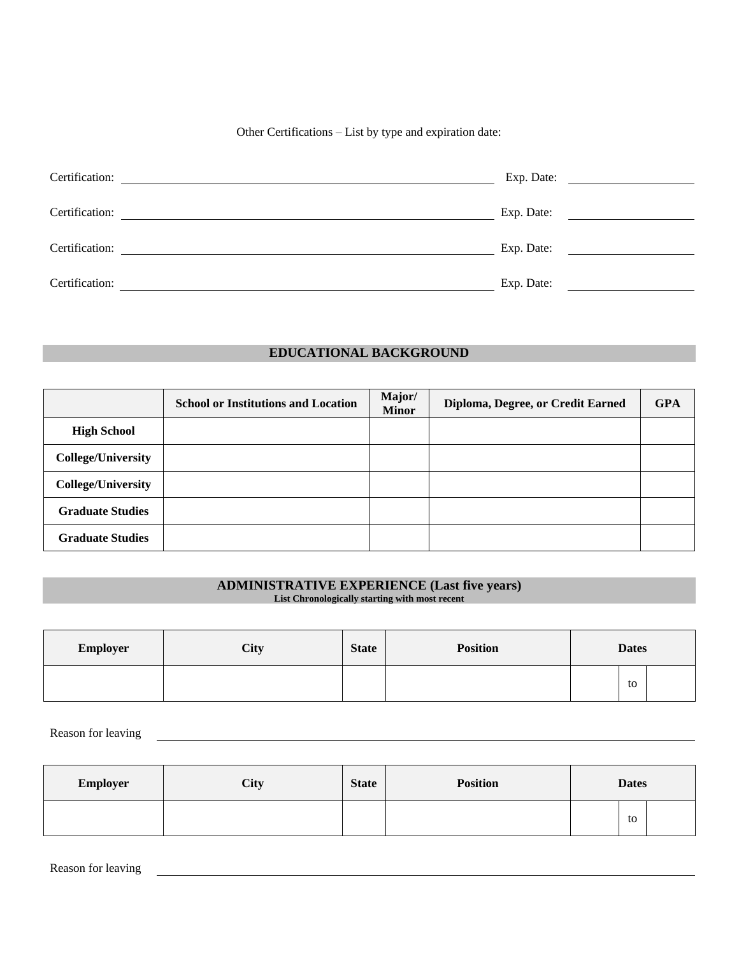Other Certifications – List by type and expiration date:

| Certification: | Exp. Date:<br>the control of the control of the |
|----------------|-------------------------------------------------|
| Certification: | Exp. Date:                                      |
| Certification: | Exp. Date:                                      |
| Certification: | Exp. Date:                                      |

### **EDUCATIONAL BACKGROUND**

|                           | <b>School or Institutions and Location</b> | Major/<br><b>Minor</b> | Diploma, Degree, or Credit Earned | <b>GPA</b> |
|---------------------------|--------------------------------------------|------------------------|-----------------------------------|------------|
| <b>High School</b>        |                                            |                        |                                   |            |
| <b>College/University</b> |                                            |                        |                                   |            |
| <b>College/University</b> |                                            |                        |                                   |            |
| <b>Graduate Studies</b>   |                                            |                        |                                   |            |
| <b>Graduate Studies</b>   |                                            |                        |                                   |            |

#### **ADMINISTRATIVE EXPERIENCE (Last five years) List Chronologically starting with most recent**

| <b>Employer</b> | City | <b>State</b> | <b>Position</b> | <b>Dates</b> |    |
|-----------------|------|--------------|-----------------|--------------|----|
|                 |      |              |                 |              | to |

Reason for leaving

| <b>Employer</b> | City | <b>State</b> | <b>Position</b> | <b>Dates</b> |    |  |
|-----------------|------|--------------|-----------------|--------------|----|--|
|                 |      |              |                 |              | to |  |

Reason for leaving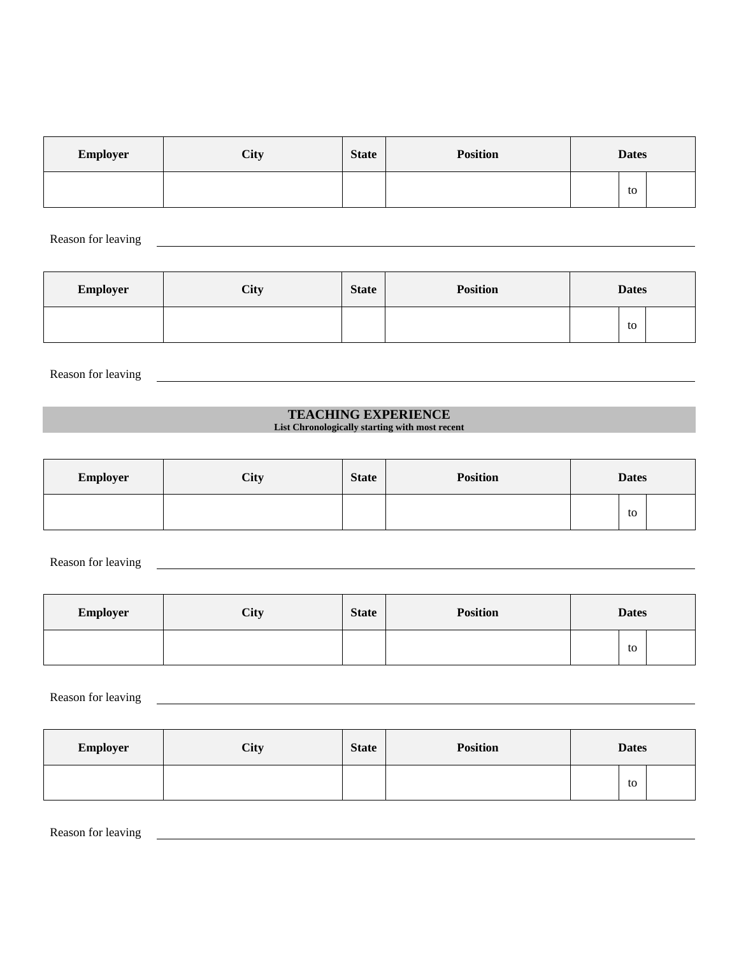| <b>Employer</b> | City | <b>State</b> | <b>Position</b> | <b>Dates</b> |    |
|-----------------|------|--------------|-----------------|--------------|----|
|                 |      |              |                 |              | to |

Reason for leaving

| <b>Employer</b> | City | <b>State</b> | <b>Position</b> | <b>Dates</b> |    |
|-----------------|------|--------------|-----------------|--------------|----|
|                 |      |              |                 |              | to |

Reason for leaving

#### **TEACHING EXPERIENCE**

<u> 1989 - Johann Barn, mars ann an t-Amhain Aonaich an t-Aonaich an t-Aonaich ann an t-Aonaich ann an t-Aonaich</u>

**List Chronologically starting with most recent**

| <b>Employer</b> | City | <b>State</b> | <b>Position</b> | <b>Dates</b> |    |  |
|-----------------|------|--------------|-----------------|--------------|----|--|
|                 |      |              |                 |              | to |  |

Reason for leaving

| Employer | City | <b>State</b> | <b>Position</b> | <b>Dates</b> |    |  |
|----------|------|--------------|-----------------|--------------|----|--|
|          |      |              |                 |              | to |  |

Reason for leaving

| <b>Employer</b> | City | <b>State</b> | <b>Position</b> | <b>Dates</b> |    |  |
|-----------------|------|--------------|-----------------|--------------|----|--|
|                 |      |              |                 |              | to |  |

Reason for leaving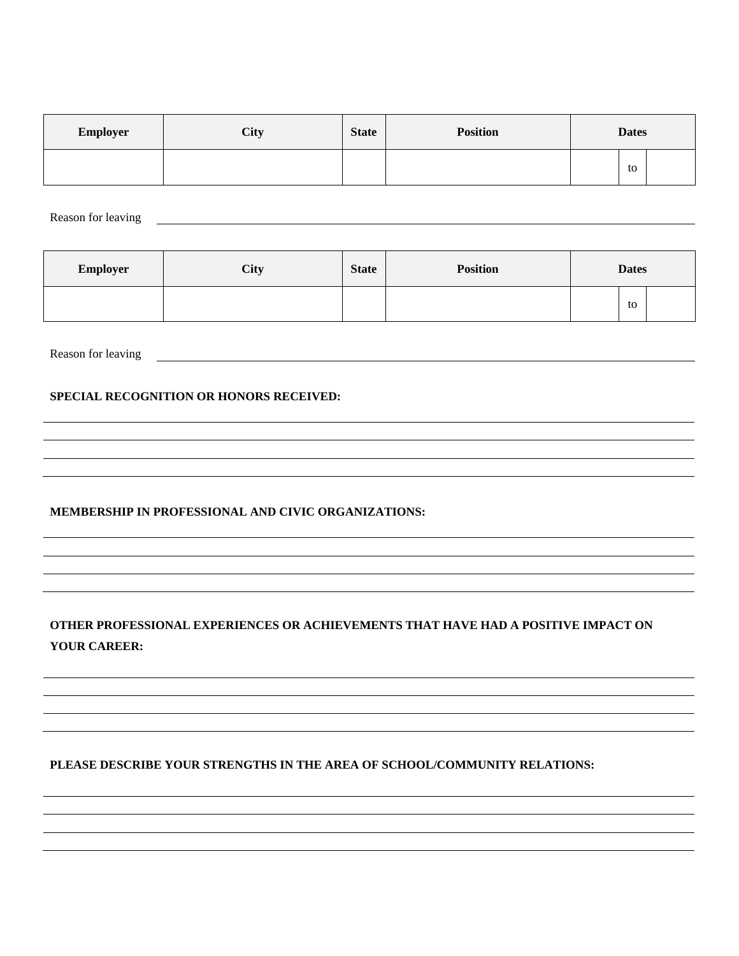| Employer | City | <b>State</b> | <b>Position</b> | <b>Dates</b> |    |
|----------|------|--------------|-----------------|--------------|----|
|          |      |              |                 |              | to |

Reason for leaving Theorem 2012 and 2012 and 2012 and 2012 and 2012 and 2012 and 2012 and 2012 and 2012 and 2012 and 2012 and 2012 and 2012 and 2012 and 2012 and 2012 and 2012 and 2012 and 2012 and 2012 and 2012 and 2012 a

| <b>Employer</b> | City | <b>State</b> | <b>Position</b> | <b>Dates</b> |    |  |
|-----------------|------|--------------|-----------------|--------------|----|--|
|                 |      |              |                 |              | to |  |

Reason for leaving

#### **SPECIAL RECOGNITION OR HONORS RECEIVED:**

#### **MEMBERSHIP IN PROFESSIONAL AND CIVIC ORGANIZATIONS:**

## **OTHER PROFESSIONAL EXPERIENCES OR ACHIEVEMENTS THAT HAVE HAD A POSITIVE IMPACT ON YOUR CAREER:**

**PLEASE DESCRIBE YOUR STRENGTHS IN THE AREA OF SCHOOL/COMMUNITY RELATIONS:**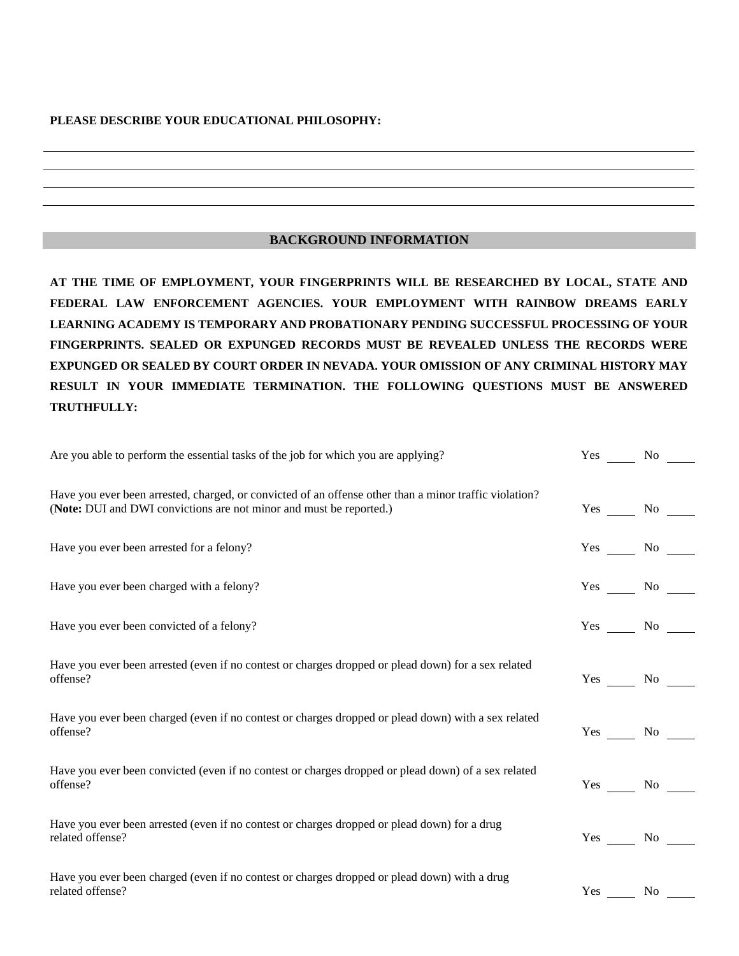#### **PLEASE DESCRIBE YOUR EDUCATIONAL PHILOSOPHY:**

#### **BACKGROUND INFORMATION**

**AT THE TIME OF EMPLOYMENT, YOUR FINGERPRINTS WILL BE RESEARCHED BY LOCAL, STATE AND FEDERAL LAW ENFORCEMENT AGENCIES. YOUR EMPLOYMENT WITH RAINBOW DREAMS EARLY LEARNING ACADEMY IS TEMPORARY AND PROBATIONARY PENDING SUCCESSFUL PROCESSING OF YOUR FINGERPRINTS. SEALED OR EXPUNGED RECORDS MUST BE REVEALED UNLESS THE RECORDS WERE EXPUNGED OR SEALED BY COURT ORDER IN NEVADA. YOUR OMISSION OF ANY CRIMINAL HISTORY MAY RESULT IN YOUR IMMEDIATE TERMINATION. THE FOLLOWING QUESTIONS MUST BE ANSWERED TRUTHFULLY:**

| Are you able to perform the essential tasks of the job for which you are applying?                                                                                            |     | Yes No             |
|-------------------------------------------------------------------------------------------------------------------------------------------------------------------------------|-----|--------------------|
| Have you ever been arrested, charged, or convicted of an offense other than a minor traffic violation?<br>(Note: DUI and DWI convictions are not minor and must be reported.) |     | $Yes \_\_ No \_\_$ |
| Have you ever been arrested for a felony?                                                                                                                                     |     | $Yes \_\_ No \_\_$ |
| Have you ever been charged with a felony?                                                                                                                                     |     | Yes No             |
| Have you ever been convicted of a felony?                                                                                                                                     |     | $Yes \t No$        |
| Have you ever been arrested (even if no contest or charges dropped or plead down) for a sex related<br>offense?                                                               |     | $Yes \_\_ No \_\_$ |
| Have you ever been charged (even if no contest or charges dropped or plead down) with a sex related<br>offense?                                                               |     | $Yes \_\_ No \_\_$ |
| Have you ever been convicted (even if no contest or charges dropped or plead down) of a sex related<br>offense?                                                               |     | Yes No             |
| Have you ever been arrested (even if no contest or charges dropped or plead down) for a drug<br>related offense?                                                              |     | $Yes \_\_ No \_\_$ |
| Have you ever been charged (even if no contest or charges dropped or plead down) with a drug<br>related offense?                                                              | Yes | N <sub>0</sub>     |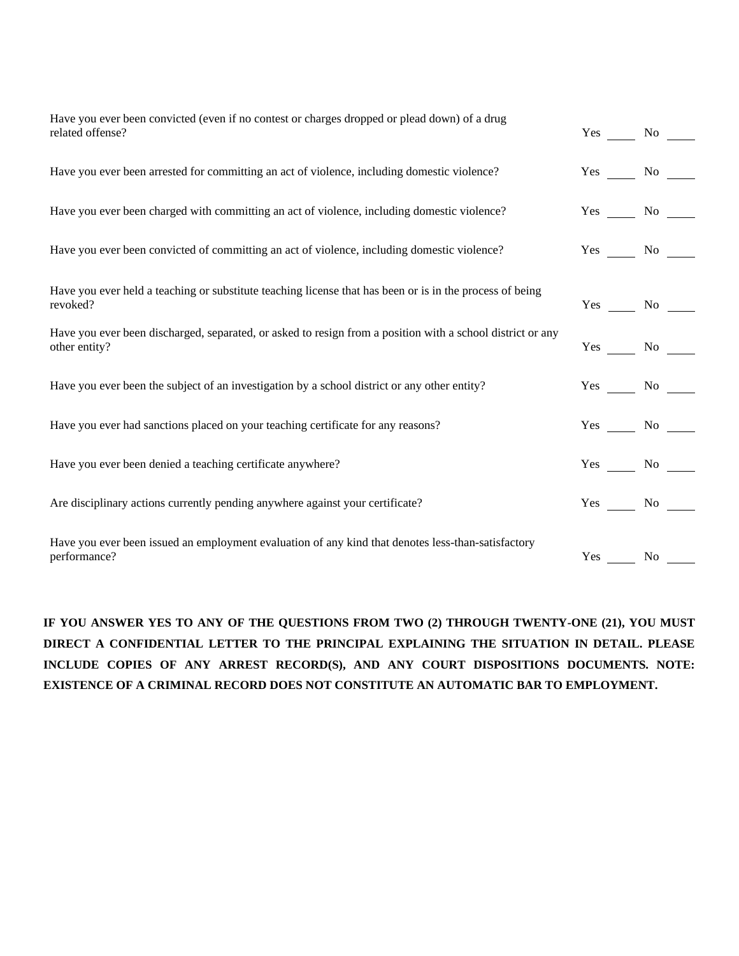| Have you ever been convicted (even if no contest or charges dropped or plead down) of a drug<br>related offense?            |                    | Yes No             |
|-----------------------------------------------------------------------------------------------------------------------------|--------------------|--------------------|
| Have you ever been arrested for committing an act of violence, including domestic violence?                                 | Yes No             |                    |
| Have you ever been charged with committing an act of violence, including domestic violence?                                 |                    | $Yes \t No$        |
| Have you ever been convicted of committing an act of violence, including domestic violence?                                 | $Yes \t No \t —$   |                    |
| Have you ever held a teaching or substitute teaching license that has been or is in the process of being<br>revoked?        |                    | $Yes \t No \t —$   |
| Have you ever been discharged, separated, or asked to resign from a position with a school district or any<br>other entity? |                    | $Yes \_\_ No \_\_$ |
| Have you ever been the subject of an investigation by a school district or any other entity?                                |                    | Yes No             |
| Have you ever had sanctions placed on your teaching certificate for any reasons?                                            |                    | Yes No             |
| Have you ever been denied a teaching certificate anywhere?                                                                  | Yes No             |                    |
| Are disciplinary actions currently pending anywhere against your certificate?                                               | $Yes \_\_ No \_\_$ |                    |
| Have you ever been issued an employment evaluation of any kind that denotes less-than-satisfactory<br>performance?          |                    | $Yes \t No \t$     |

**IF YOU ANSWER YES TO ANY OF THE QUESTIONS FROM TWO (2) THROUGH TWENTY-ONE (21), YOU MUST DIRECT A CONFIDENTIAL LETTER TO THE PRINCIPAL EXPLAINING THE SITUATION IN DETAIL. PLEASE INCLUDE COPIES OF ANY ARREST RECORD(S), AND ANY COURT DISPOSITIONS DOCUMENTS. NOTE: EXISTENCE OF A CRIMINAL RECORD DOES NOT CONSTITUTE AN AUTOMATIC BAR TO EMPLOYMENT.**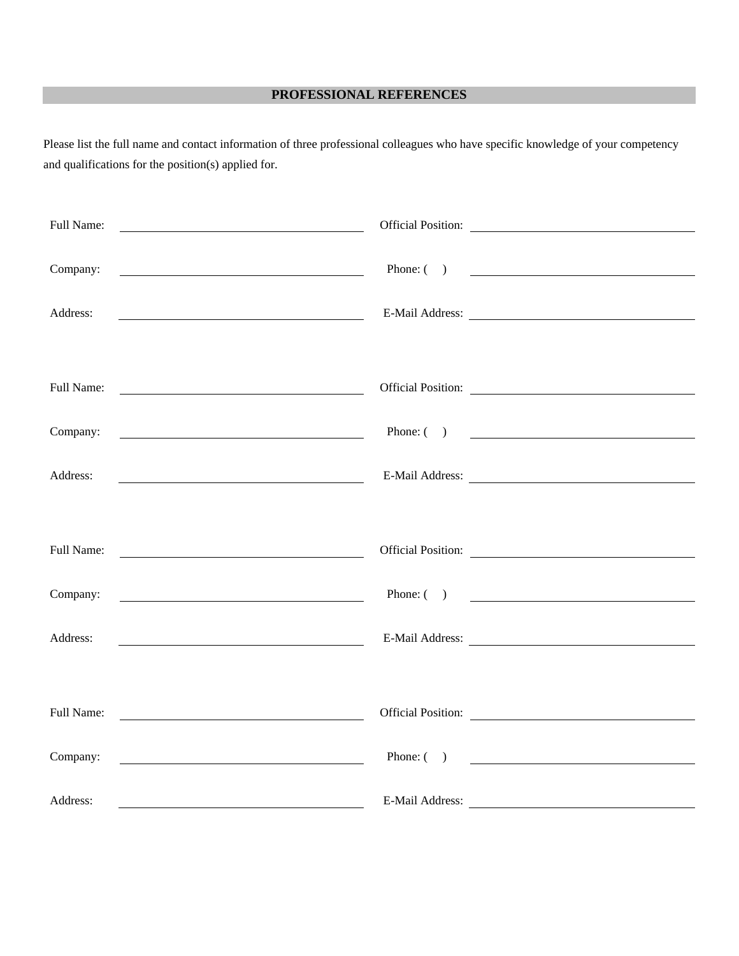## **PROFESSIONAL REFERENCES**

Please list the full name and contact information of three professional colleagues who have specific knowledge of your competency and qualifications for the position(s) applied for.

| Full Name: |                                                                                                                        | Official Position:                                                                                                                                                                                                            |
|------------|------------------------------------------------------------------------------------------------------------------------|-------------------------------------------------------------------------------------------------------------------------------------------------------------------------------------------------------------------------------|
|            |                                                                                                                        |                                                                                                                                                                                                                               |
| Company:   | <u> 2008 - Johann Stone, meil in der Stone aus der Stone anderen Stone aus der Stone anderen Stone anderen Stone a</u> | Phone: $\qquad \qquad$                                                                                                                                                                                                        |
| Address:   |                                                                                                                        |                                                                                                                                                                                                                               |
|            |                                                                                                                        |                                                                                                                                                                                                                               |
|            |                                                                                                                        |                                                                                                                                                                                                                               |
| Full Name: |                                                                                                                        | Official Position:                                                                                                                                                                                                            |
| Company:   | <u> 1990 - Johann Barbara, martin amerikan per</u>                                                                     | Phone: $($ )                                                                                                                                                                                                                  |
|            |                                                                                                                        |                                                                                                                                                                                                                               |
| Address:   | <u> 1989 - Johann Barn, mars eta bainar eta idazlea (h. 1989).</u>                                                     |                                                                                                                                                                                                                               |
|            |                                                                                                                        |                                                                                                                                                                                                                               |
| Full Name: | <u> 1990 - John Stein, Amerikaansk politiker (</u>                                                                     |                                                                                                                                                                                                                               |
|            |                                                                                                                        |                                                                                                                                                                                                                               |
| Company:   | <u> 1990 - Johann Barnett, fransk politiker (</u>                                                                      | Phone: $\qquad \qquad$                                                                                                                                                                                                        |
| Address:   | <u> 1989 - Johann Barbara, martin amerikan ba</u>                                                                      | E-Mail Address: New York Channel Address:                                                                                                                                                                                     |
|            |                                                                                                                        |                                                                                                                                                                                                                               |
| Full Name: |                                                                                                                        |                                                                                                                                                                                                                               |
|            | <u> 1980 - Johann Barn, mars and de Brasilian (b. 1980)</u>                                                            |                                                                                                                                                                                                                               |
| Company:   | <u> 1990 - Johann Barbara, martin amerikan personal (</u>                                                              | Phone: $\qquad \qquad$                                                                                                                                                                                                        |
| Address:   |                                                                                                                        |                                                                                                                                                                                                                               |
|            |                                                                                                                        | E-Mail Address: The Mail Address and the Mail Address and the Mail Address and the Mail Address and the Mail Address and the Mail Address and the Mail Address and the Mail Address and the Mail Address and the Mail Address |